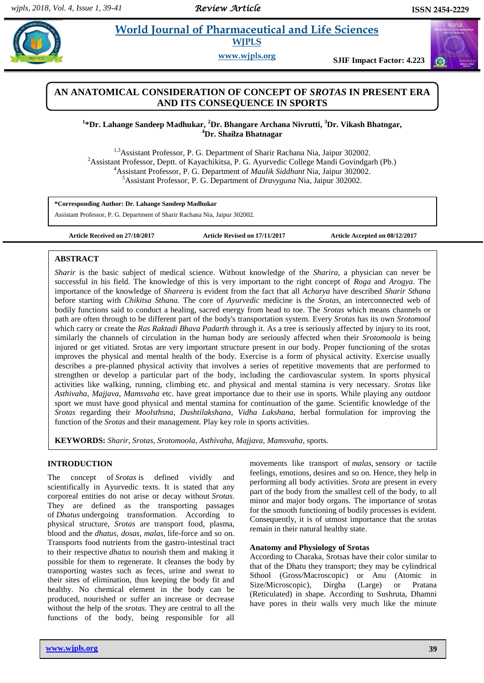# **ed.** *W***orld Journal of Pharmaceutical and Life Sciences WJPLS**

**www.wjpls.org SJIF Impact Factor: 4.223**

# **AN ANATOMICAL CONSIDERATION OF CONCEPT OF** *SROTAS* **IN PRESENT ERA AND ITS CONSEQUENCE IN SPORTS**

**1 \*Dr. Lahange Sandeep Madhukar, <sup>2</sup>Dr. Bhangare Archana Nivrutti, <sup>3</sup>Dr. Vikash Bhatngar, <sup>4</sup>Dr. Shailza Bhatnagar**

<sup>1,3</sup>Assistant Professor, P. G. Department of Sharir Rachana Nia, Jaipur 302002. <sup>2</sup>Assistant Professor, Deptt. of Kayachikitsa, P. G. Ayurvedic College Mandi Govindgarh (Pb.) <sup>4</sup>Assistant Professor, P. G. Department of *Maulik Siddhant* Nia, Jaipur 302002. <sup>5</sup>Assistant Professor, P. G. Department of *Dravyguna* Nia, Jaipur 302002.

**\*Corresponding Author: Dr. Lahange Sandeep Madhukar**

Assistant Professor, P. G. Department of Sharir Rachana Nia, Jaipur 302002.

**Article Received on 27/10/2017 Article Revised on 17/11/2017 Article Accepted on 08/12/2017**

### **ABSTRACT**

*Sharir* is the basic subject of medical science. Without knowledge of the *Sharira,* a physician can never be successful in his field. The knowledge of this is very important to the right concept of *Roga* and *Arogya*. The importance of the knowledge of *Shareera* is evident from the fact that all *Acharya* have described *Sharir Sthana* before starting with *Chikitsa Sthana.* The core of *Ayurvedic* medicine is the *Srotas*, an interconnected web of bodily functions said to conduct a healing, sacred energy from head to toe. The *Srotas* which means channels or path are often through to be different part of the body's transportation system. Every *Srotas* has its own *Srotomool* which carry or create the *Ras Raktadi Bhava Padarth* through it. As a tree is seriously affected by injury to its root, similarly the channels of circulation in the human body are seriously affected when their *Srotomoola* is being injured or get vitiated. Srotas are very important structure present in our body. Proper functioning of the srotas improves the physical and mental health of the body. Exercise is a form of physical activity. Exercise usually describes a pre-planned physical activity that involves a series of repetitive movements that are performed to strengthen or develop a particular part of the body, including the cardiovascular system. In sports physical activities like walking, running, climbing etc. and physical and mental stamina is very necessary. *Srotas* like *Asthivaha, Majjava, Mamsvaha* etc. have great importance due to their use in sports. While playing any outdoor sport we must have good physical and mental stamina for continuation of the game. Scientific knowledge of the *Srotas* regarding their *Moolsthsna, Dushtilakshana, Vidha Lakshana,* herbal formulation for improving the function of the *Srotas* and their management*.* Play key role in sports activities.

**KEYWORDS:** *Sharir, Srotas, Srotomoola, Asthivaha, Majjava, Mamsvaha,* sports.

## **INTRODUCTION**

The concept of *Srotas* is defined vividly and scientifically in Ayurvedic texts. It is stated that any corporeal entities do not arise or decay without *Srotas*. They are defined as the transporting passages of *Dhatus* undergoing transformation. According to physical structure, *Srotas* are transport food, plasma, blood and the *dhatus, dosas, malas,* life-force and so on. Transports food nutrients from the gastro-intestinal tract to their respective *dhatus* to nourish them and making it possible for them to regenerate. It cleanses the body by transporting wastes such as feces, urine and sweat to their sites of elimination, thus keeping the body fit and healthy. No chemical element in the body can be produced, nourished or suffer an increase or decrease without the help of the *srotas.* They are central to all the functions of the body, being responsible for all

movements like transport of *malas,* sensory or tactile feelings, emotions, desires and so on. Hence, they help in performing all body activities. *Srota* are present in every part of the body from the smallest cell of the body, to all minor and major body organs. The importance of srotas for the smooth functioning of bodily processes is evident. Consequently, it is of utmost importance that the srotas remain in their natural healthy state.

# **Anatomy and Physiology of Srotas**

According to Charaka, Srotsas have their color similar to that of the Dhatu they transport; they may be cylindrical Sthool (Gross/Macroscopic) or Anu (Atomic in Size/Microscopic), Dirgha (Large) or Pratana (Reticulated) in shape. According to Sushruta, Dhamni have pores in their walls very much like the minute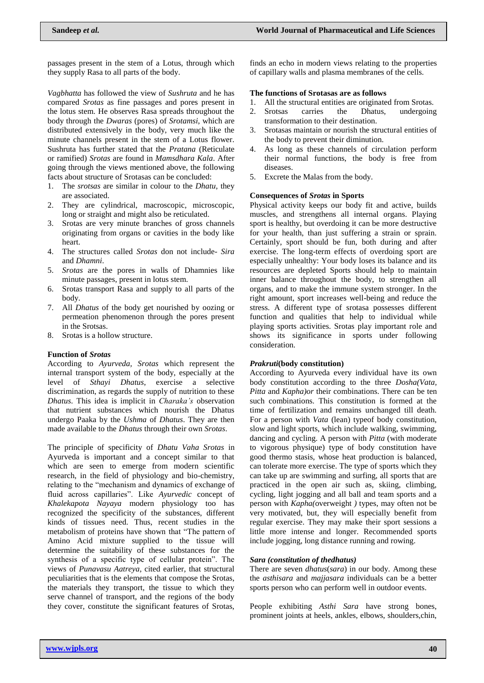passages present in the stem of a Lotus, through which they supply Rasa to all parts of the body.

*Vagbhatta* has followed the view of *Sushruta* and he has compared *Srotas* as fine passages and pores present in the lotus stem. He observes Rasa spreads throughout the body through the *Dwaras* (pores) of *Srotamsi*, which are distributed extensively in the body, very much like the minute channels present in the stem of a Lotus flower. Sushruta has further stated that the *Pratana* (Reticulate or ramified) *Srotas* are found in *Mamsdhara Kala*. After going through the views mentioned above, the following facts about structure of Srotasas can be concluded:

- 1. The *srotsas* are similar in colour to the *Dhatu*, they are associated.
- 2. They are cylindrical, macroscopic, microscopic, long or straight and might also be reticulated.
- 3. Srotas are very minute branches of gross channels originating from organs or cavities in the body like heart.
- 4. The structures called *Srotas* don not include- *Sira* and *Dhamni*.
- 5. *Srotas* are the pores in walls of Dhamnies like minute passages, present in lotus stem.
- 6. Srotas transport Rasa and supply to all parts of the body.
- 7. All *Dhatus* of the body get nourished by oozing or permeation phenomenon through the pores present in the Srotsas.
- 8. Srotas is a hollow structure.

#### **Function of** *Srotas*

According to *Ayurveda, Srotas* which represent the internal transport system of the body, especially at the level of *Sthayi Dhatus*, exercise a selective discrimination, as regards the supply of nutrition to these *Dhatus*. This idea is implicit in *Charaka's* observation that nutrient substances which nourish the Dhatus undergo Paaka by the *Ushma* of *Dhatus*. They are then made available to the *Dhatus* through their own *Srotas*.

The principle of specificity of *Dhatu Vaha Srotas* in Ayurveda is important and a concept similar to that which are seen to emerge from modern scientific research, in the field of physiology and bio-chemistry, relating to the "mechanism and dynamics of exchange of fluid across capillaries". Like *Ayurvedic* concept of *Khalekapota Nayaya* modern physiology too has recognized the specificity of the substances, different kinds of tissues need. Thus, recent studies in the metabolism of proteins have shown that "The pattern of Amino Acid mixture supplied to the tissue will determine the suitability of these substances for the synthesis of a specific type of cellular protein". The views of *Punavasu Aatreya*, cited earlier, that structural peculiarities that is the elements that compose the Srotas, the materials they transport, the tissue to which they serve channel of transport, and the regions of the body they cover, constitute the significant features of Srotas,

finds an echo in modern views relating to the properties of capillary walls and plasma membranes of the cells.

#### **The functions of Srotasas are as follows**

- 1. All the structural entities are originated from Srotas.
- 2. Srotsas carries the Dhatus, undergoing transformation to their destination.
- 3. Srotasas maintain or nourish the structural entities of the body to prevent their diminution.
- 4. As long as these channels of circulation perform their normal functions, the body is free from diseases.
- 5. Excrete the Malas from the body.

#### **Consequences of** *Srotas* **in Sports**

Physical activity keeps our body fit and active, builds muscles, and strengthens all internal organs. Playing sport is healthy, but overdoing it can be more destructive for your health, than just suffering a strain or sprain. Certainly, sport should be fun, both during and after exercise. The long-term effects of overdoing sport are especially unhealthy: Your body loses its balance and its resources are depleted Sports should help to maintain inner balance throughout the body, to strengthen all organs, and to make the immune system stronger. In the right amount, sport increases well-being and reduce the stress. A different type of srotasa possesses different function and qualities that help to individual while playing sports activities. Srotas play important role and shows its significance in sports under following consideration.

#### *Prakruti***(body constitution)**

According to Ayurveda every individual have its own body constitution according to the three *Dosha(Vata, Pitta* and *Kapha)or* their combinations. There can be ten such combinations. This constitution is formed at the time of fertilization and remains unchanged till death. For a person with *Vata* (lean) typeof body constitution, slow and light sports, which include walking, swimming, dancing and cycling. A person with *Pitta* (with moderate to vigorous physique) type of body constitution have good thermo stasis, whose heat production is balanced, can tolerate more exercise. The type of sports which they can take up are swimming and surfing, all sports that are practiced in the open air such as, skiing, climbing, cycling, light jogging and all ball and team sports and a person with *Kapha(*overweight *)* types, may often not be very motivated, but, they will especially benefit from regular exercise. They may make their sport sessions a little more intense and longer. Recommended sports include jogging, long distance running and rowing.

#### *Sara (constitution of thedhatus)*

There are seven *dhatus*(*sara*) in our body. Among these the *asthisara* and *majjasara* individuals can be a better sports person who can perform well in outdoor events.

People exhibiting *Asthi Sara* have strong bones, prominent joints at heels, ankles, elbows, shoulders,chin,